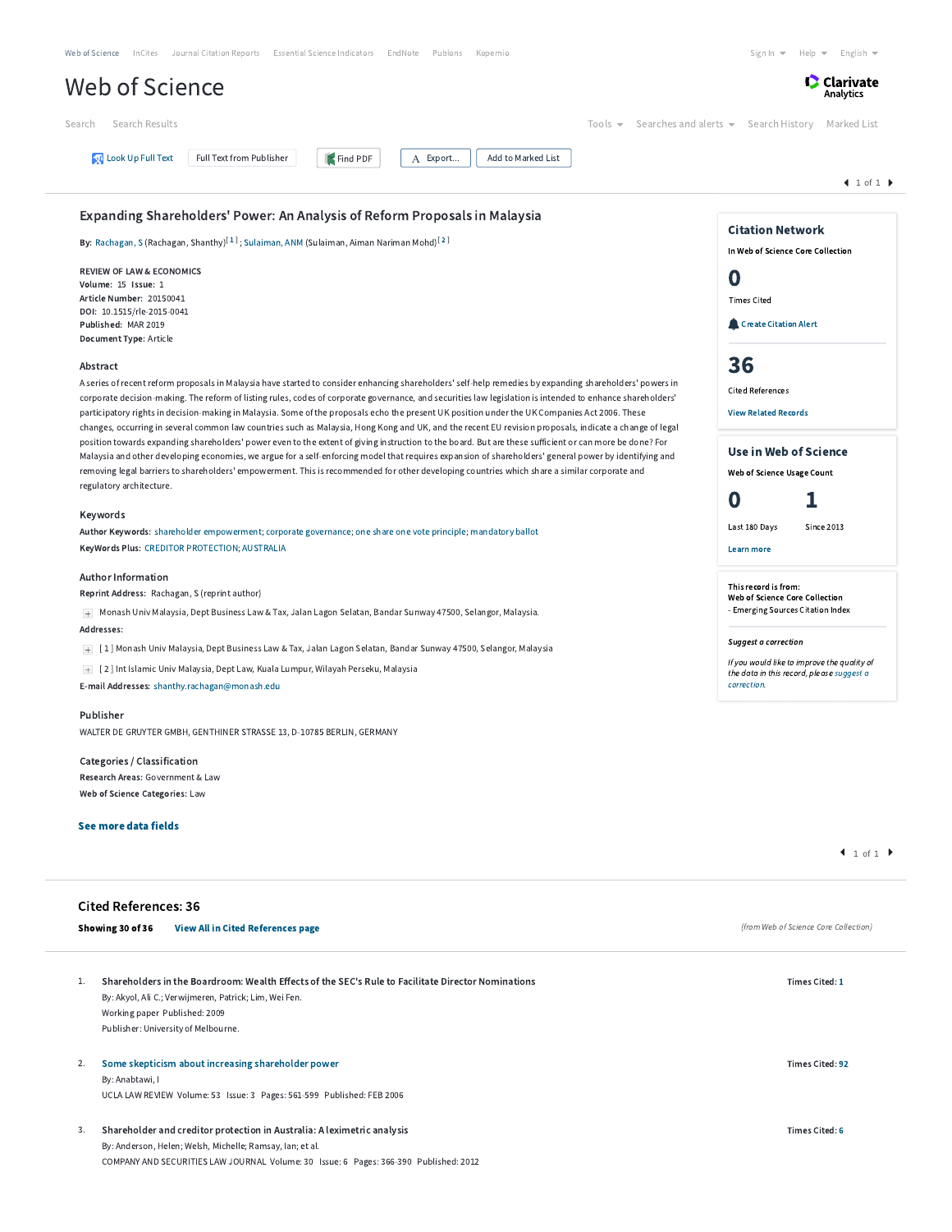| Web of Science InCites Journal Citation Reports Essential Science Indicators EndNote Publons<br>Kopernio                                                                                                                                                                                                          | Sign In $\blacktriangledown$<br>Help $\blacktriangleright$ English $\blacktriangleright$ |
|-------------------------------------------------------------------------------------------------------------------------------------------------------------------------------------------------------------------------------------------------------------------------------------------------------------------|------------------------------------------------------------------------------------------|
| Web of Science                                                                                                                                                                                                                                                                                                    | <b>C</b> Clarivate<br>Analytics                                                          |
| Tools $\blacktriangledown$<br>Searches and alerts $\blacktriangleright$<br>Search Results<br>Search                                                                                                                                                                                                               | Search History<br>Marked List                                                            |
| <b>U</b> Look Up Full Text<br>Full Text from Publisher<br>Find PDF<br>A Export<br>Add to Marked List                                                                                                                                                                                                              |                                                                                          |
|                                                                                                                                                                                                                                                                                                                   | $41$ of $1$                                                                              |
| Expanding Shareholders' Power: An Analysis of Reform Proposals in Malaysia                                                                                                                                                                                                                                        |                                                                                          |
| By: Rachagan, S (Rachagan, Shanthy) <sup>[1]</sup> ; Sulaiman, ANM (Sulaiman, Aiman Nariman Mohd) <sup>[2]</sup>                                                                                                                                                                                                  | <b>Citation Network</b><br>In Web of Science Core Collection                             |
| <b>REVIEW OF LAW &amp; ECONOMICS</b>                                                                                                                                                                                                                                                                              |                                                                                          |
| Volume: 15 Issue: 1                                                                                                                                                                                                                                                                                               | O                                                                                        |
| Article Number: 20150041                                                                                                                                                                                                                                                                                          | <b>Times Cited</b>                                                                       |
| DOI: 10.1515/rle-2015-0041<br>Published: MAR 2019                                                                                                                                                                                                                                                                 | Create Citation Alert                                                                    |
| Document Type: Article                                                                                                                                                                                                                                                                                            |                                                                                          |
| Abstract                                                                                                                                                                                                                                                                                                          | 36                                                                                       |
| A series of recent reform proposals in Malaysia have started to consider enhancing shareholders' self-help remedies by expanding shareholders' powers in                                                                                                                                                          |                                                                                          |
| corporate decision-making. The reform of listing rules, codes of corporate governance, and securities law legislation is intended to enhance shareholders'                                                                                                                                                        | <b>Cited References</b>                                                                  |
| participatory rights in decision-making in Malaysia. Some of the proposals echo the present UK position under the UK Companies Act 2006. These<br>changes, occurring in several common law countries such as Malaysia, Hong Kong and UK, and the recent EU revision proposals, indicate a change of legal         | <b>View Related Records</b>                                                              |
| position towards expanding shareholders' power even to the extent of giving instruction to the board. But are these sufficient or can more be done? For<br>Malaysia and other developing economies, we argue for a self-enforcing model that requires expansion of shareholders' general power by identifying and | <b>Use in Web of Science</b>                                                             |
| removing legal barriers to shareholders' empowerment. This is recommended for other developing countries which share a similar corporate and                                                                                                                                                                      | Web of Science Usage Count                                                               |
| regulatory architecture.                                                                                                                                                                                                                                                                                          |                                                                                          |
| Keywords                                                                                                                                                                                                                                                                                                          | O                                                                                        |
| Author Keywords: shareholder empowerment; corporate governance; one share one vote principle; mandatory ballot                                                                                                                                                                                                    | Last 180 Days<br>Since 2013                                                              |
| KeyWords Plus: CREDITOR PROTECTION; AUSTRALIA                                                                                                                                                                                                                                                                     | <b>Learn more</b>                                                                        |
| <b>Author Information</b>                                                                                                                                                                                                                                                                                         | This record is from:                                                                     |
| Reprint Address: Rachagan, S (reprint author)                                                                                                                                                                                                                                                                     | Web of Science Core Collection<br>- Emerging Sources Citation Index                      |
| + Monash Univ Malaysia, Dept Business Law & Tax, Jalan Lagon Selatan, Bandar Sunway 47500, Selangor, Malaysia.                                                                                                                                                                                                    |                                                                                          |
| Addresses:                                                                                                                                                                                                                                                                                                        | Suggest a correction                                                                     |
| + [1] Monash Univ Malaysia, Dept Business Law & Tax, Jalan Lagon Selatan, Bandar Sunway 47500, Selangor, Malaysia                                                                                                                                                                                                 | If you would like to improve the quality of                                              |
| + [2] Int Islamic Univ Malaysia, Dept Law, Kuala Lumpur, Wilayah Perseku, Malaysia<br>E-mail Addresses: shanthy.rachagan@monash.edu                                                                                                                                                                               | the data in this record, please suggest a<br>correction.                                 |
| Publisher                                                                                                                                                                                                                                                                                                         |                                                                                          |
| WALTER DE GRUYTER GMBH, GENTHINER STRASSE 13, D-10785 BERLIN, GERMANY                                                                                                                                                                                                                                             |                                                                                          |
| Categories / Classification                                                                                                                                                                                                                                                                                       |                                                                                          |
| Research Areas: Government & Law                                                                                                                                                                                                                                                                                  |                                                                                          |
| Web of Science Categories: Law                                                                                                                                                                                                                                                                                    |                                                                                          |
| See more data fields                                                                                                                                                                                                                                                                                              |                                                                                          |
|                                                                                                                                                                                                                                                                                                                   | 1 of 1                                                                                   |
| <b>Cited References: 36</b>                                                                                                                                                                                                                                                                                       |                                                                                          |
| Showing 30 of 36<br><b>View All in Cited References page</b>                                                                                                                                                                                                                                                      | (from Web of Science Core Collection)                                                    |
|                                                                                                                                                                                                                                                                                                                   |                                                                                          |
| Shareholders in the Boardroom: Wealth Effects of the SEC's Rule to Facilitate Director Nominations<br>1.                                                                                                                                                                                                          | Times Cited: 1                                                                           |
| By: Akyol, Ali C.; Verwijmeren, Patrick; Lim, Wei Fen.                                                                                                                                                                                                                                                            |                                                                                          |
| Working paper Published: 2009                                                                                                                                                                                                                                                                                     |                                                                                          |
| Publisher: University of Melbourne.                                                                                                                                                                                                                                                                               |                                                                                          |
|                                                                                                                                                                                                                                                                                                                   |                                                                                          |
| Some skepticism about increasing shareholder power<br>2.<br>By: Anabtawi, I                                                                                                                                                                                                                                       | <b>Times Cited: 92</b>                                                                   |
| UCLA LAW REVIEW Volume: 53 Issue: 3 Pages: 561-599 Published: FEB 2006                                                                                                                                                                                                                                            |                                                                                          |
|                                                                                                                                                                                                                                                                                                                   |                                                                                          |
| Shareholder and creditor protection in Australia: A leximetric analysis<br>3.                                                                                                                                                                                                                                     | <b>Times Cited: 6</b>                                                                    |
| By: Anderson, Helen; Welsh, Michelle; Ramsay, Ian; et al.                                                                                                                                                                                                                                                         |                                                                                          |
| COMPANY AND SECURITIES LAW JOURNAL Volume: 30 Issue: 6 Pages: 366-390 Published: 2012                                                                                                                                                                                                                             |                                                                                          |
|                                                                                                                                                                                                                                                                                                                   |                                                                                          |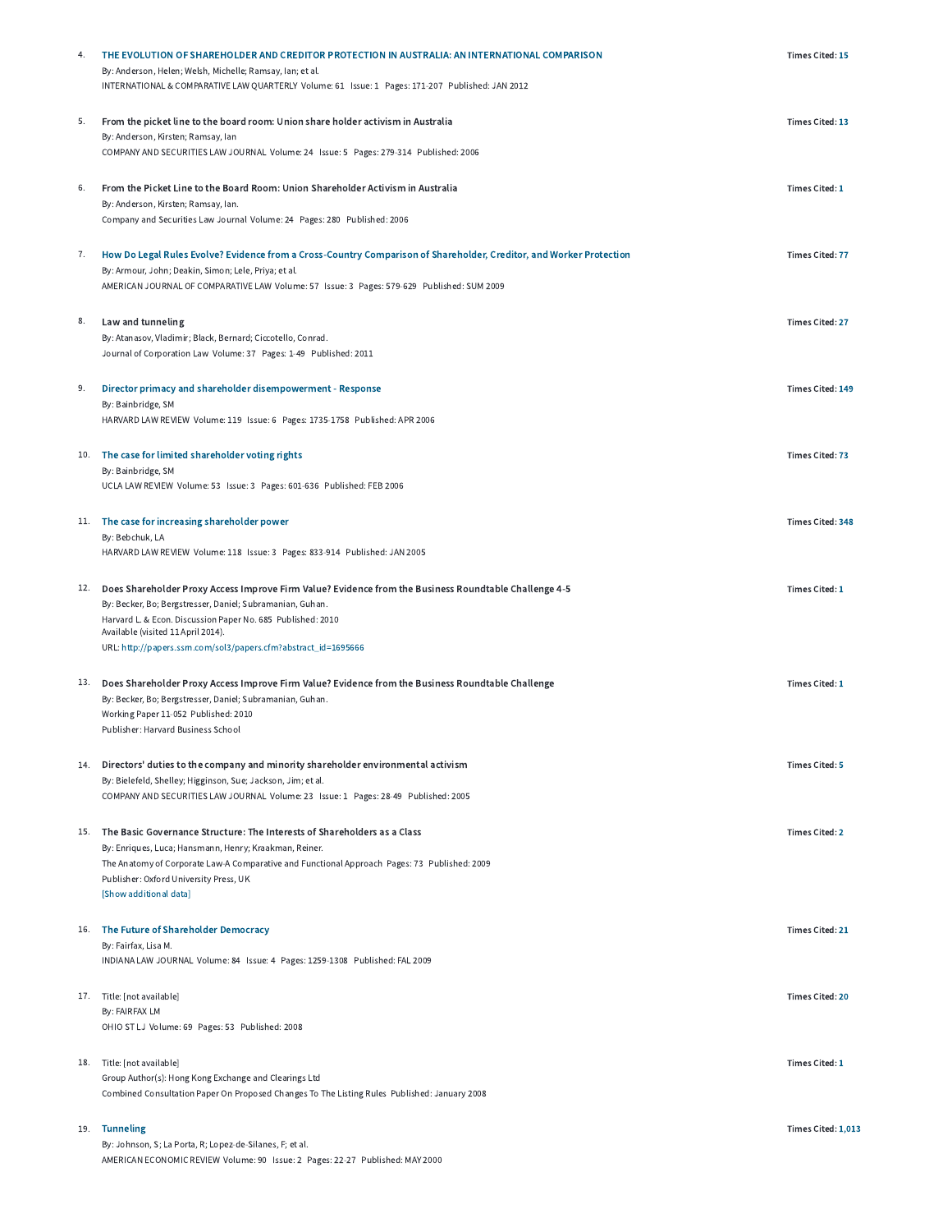| 4. | THE EVOLUTION OF SHAREHOLDER AND CREDITOR PROTECTION IN AUSTRALIA: AN INTERNATIONAL COMPARISON<br>By: Anderson, Helen; Welsh, Michelle; Ramsay, Ian; et al.                    | <b>Times Cited: 15</b> |
|----|--------------------------------------------------------------------------------------------------------------------------------------------------------------------------------|------------------------|
|    | INTERNATIONAL & COMPARATIVE LAW QUARTERLY Volume: 61 Issue: 1 Pages: 171-207 Published: JAN 2012                                                                               |                        |
| 5. | From the picket line to the board room: Union share holder activism in Australia<br>By: Anderson, Kirsten; Ramsay, Ian                                                         | Times Cited: 13        |
|    | COMPANY AND SECURITIES LAW JOURNAL Volume: 24 Issue: 5 Pages: 279-314 Published: 2006                                                                                          |                        |
| 6. | From the Picket Line to the Board Room: Union Shareholder Activism in Australia                                                                                                | Times Cited: 1         |
|    | By: Anderson, Kirsten; Ramsay, Ian.<br>Company and Securities Law Journal Volume: 24 Pages: 280 Published: 2006                                                                |                        |
| 7. | How Do Legal Rules Evolve? Evidence from a Cross-Country Comparison of Shareholder, Creditor, and Worker Protection                                                            | <b>Times Cited: 77</b> |
|    | By: Armour, John; Deakin, Simon; Lele, Priya; et al.<br>AMERICAN JOURNAL OF COMPARATIVE LAW Volume: 57 Issue: 3 Pages: 579-629 Published: SUM 2009                             |                        |
| 8. |                                                                                                                                                                                | <b>Times Cited: 27</b> |
|    | Law and tunneling<br>By: Atanasov, Vladimir; Black, Bernard; Ciccotello, Conrad.                                                                                               |                        |
|    | Journal of Corporation Law Volume: 37 Pages: 1-49 Published: 2011                                                                                                              |                        |
| 9. | Director primacy and shareholder disempowerment - Response                                                                                                                     | Times Cited: 149       |
|    | By: Bainbridge, SM<br>HARVARD LAW REVIEW Volume: 119 Issue: 6 Pages: 1735-1758 Published: APR 2006                                                                             |                        |
|    | 10. The case for limited shareholder voting rights                                                                                                                             | Times Cited: 73        |
|    | By: Bainbridge, SM<br>UCLA LAW REVIEW Volume: 53 Issue: 3 Pages: 601-636 Published: FEB 2006                                                                                   |                        |
|    | 11. The case for increasing shareholder power                                                                                                                                  | Times Cited: 348       |
|    | By: Bebchuk, LA                                                                                                                                                                |                        |
|    | HARVARD LAW REVIEW Volume: 118 Issue: 3 Pages: 833-914 Published: JAN 2005                                                                                                     |                        |
|    | 12. Does Shareholder Proxy Access Improve Firm Value? Evidence from the Business Roundtable Challenge 4-5<br>By: Becker, Bo; Bergstresser, Daniel; Subramanian, Guhan.         | Times Cited: 1         |
|    | Harvard L. & Econ. Discussion Paper No. 685 Published: 2010                                                                                                                    |                        |
|    | Available (visited 11 April 2014).                                                                                                                                             |                        |
|    | URL: http://papers.ssrn.com/sol3/papers.cfm?abstract_id=1695666                                                                                                                |                        |
|    | <sup>13</sup> . Does Shareholder Proxy Access Improve Firm Value? Evidence from the Business Roundtable Challenge<br>By: Becker, Bo; Bergstresser, Daniel; Subramanian, Guhan. | Times Cited: 1         |
|    | Working Paper 11-052 Published: 2010                                                                                                                                           |                        |
|    | Publisher: Harvard Business School                                                                                                                                             |                        |
|    | 14. Directors' duties to the company and minority shareholder environmental activism<br>By: Bielefeld, Shelley; Higginson, Sue; Jackson, Jim; et al.                           | <b>Times Cited: 5</b>  |
|    | COMPANY AND SECURITIES LAW JOURNAL Volume: 23 Issue: 1 Pages: 28-49 Published: 2005                                                                                            |                        |
|    | 15. The Basic Governance Structure: The Interests of Shareholders as a Class                                                                                                   | <b>Times Cited: 2</b>  |
|    | By: Enriques, Luca; Hansmann, Henry; Kraakman, Reiner.<br>The Anatomy of Corporate Law-A Comparative and Functional Approach Pages: 73 Published: 2009                         |                        |
|    | Publisher: Oxford University Press, UK<br>[Show additional data]                                                                                                               |                        |
|    |                                                                                                                                                                                |                        |
|    | 16. The Future of Shareholder Democracy<br>By: Fairfax, Lisa M.                                                                                                                | <b>Times Cited: 21</b> |
|    | INDIANA LAW JOURNAL Volume: 84 Issue: 4 Pages: 1259-1308 Published: FAL 2009                                                                                                   |                        |
|    | 17. Title: [not available]                                                                                                                                                     | <b>Times Cited: 20</b> |
|    | By: FAIRFAX LM<br>OHIO ST LJ Volume: 69 Pages: 53 Published: 2008                                                                                                              |                        |
|    |                                                                                                                                                                                |                        |
|    | 18. Title: [not available]                                                                                                                                                     | Times Cited: 1         |
|    | Group Author(s): Hong Kong Exchange and Clearings Ltd<br>Combined Consultation Paper On Proposed Changes To The Listing Rules Published: January 2008                          |                        |
|    | 19. Tunneling                                                                                                                                                                  | Times Cited: 1,013     |
|    | By: Johnson, S; La Porta, R; Lopez-de-Silanes, F; et al.                                                                                                                       |                        |
|    | AMERICAN ECONOMIC REVIEW Volume: 90 Issue: 2 Pages: 22-27 Published: MAY 2000                                                                                                  |                        |